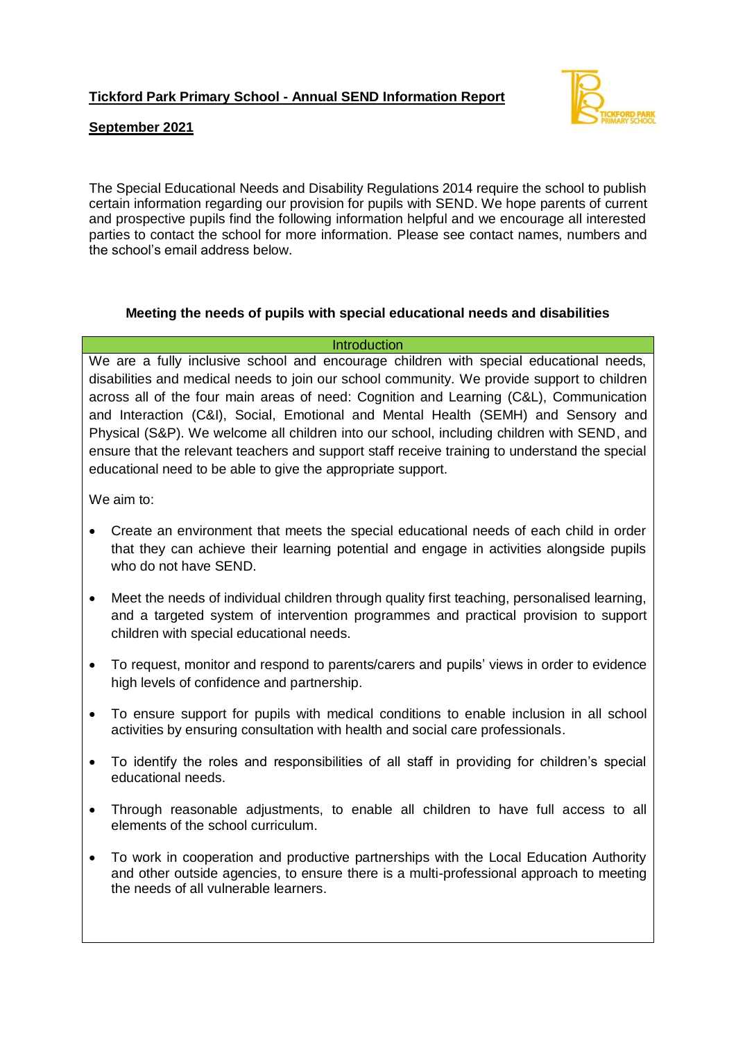

## **September 2021**

The Special Educational Needs and Disability Regulations 2014 require the school to publish certain information regarding our provision for pupils with SEND. We hope parents of current and prospective pupils find the following information helpful and we encourage all interested parties to contact the school for more information. Please see contact names, numbers and the school's email address below.

## **Meeting the needs of pupils with special educational needs and disabilities**

#### **Introduction**

We are a fully inclusive school and encourage children with special educational needs, disabilities and medical needs to join our school community. We provide support to children across all of the four main areas of need: Cognition and Learning (C&L), Communication and Interaction (C&I), Social, Emotional and Mental Health (SEMH) and Sensory and Physical (S&P). We welcome all children into our school, including children with SEND, and ensure that the relevant teachers and support staff receive training to understand the special educational need to be able to give the appropriate support.

We aim to:

- Create an environment that meets the special educational needs of each child in order that they can achieve their learning potential and engage in activities alongside pupils who do not have SEND.
- Meet the needs of individual children through quality first teaching, personalised learning, and a targeted system of intervention programmes and practical provision to support children with special educational needs.
- To request, monitor and respond to parents/carers and pupils' views in order to evidence high levels of confidence and partnership.
- To ensure support for pupils with medical conditions to enable inclusion in all school activities by ensuring consultation with health and social care professionals.
- To identify the roles and responsibilities of all staff in providing for children's special educational needs.
- Through reasonable adjustments, to enable all children to have full access to all elements of the school curriculum.
- To work in cooperation and productive partnerships with the Local Education Authority and other outside agencies, to ensure there is a multi-professional approach to meeting the needs of all vulnerable learners.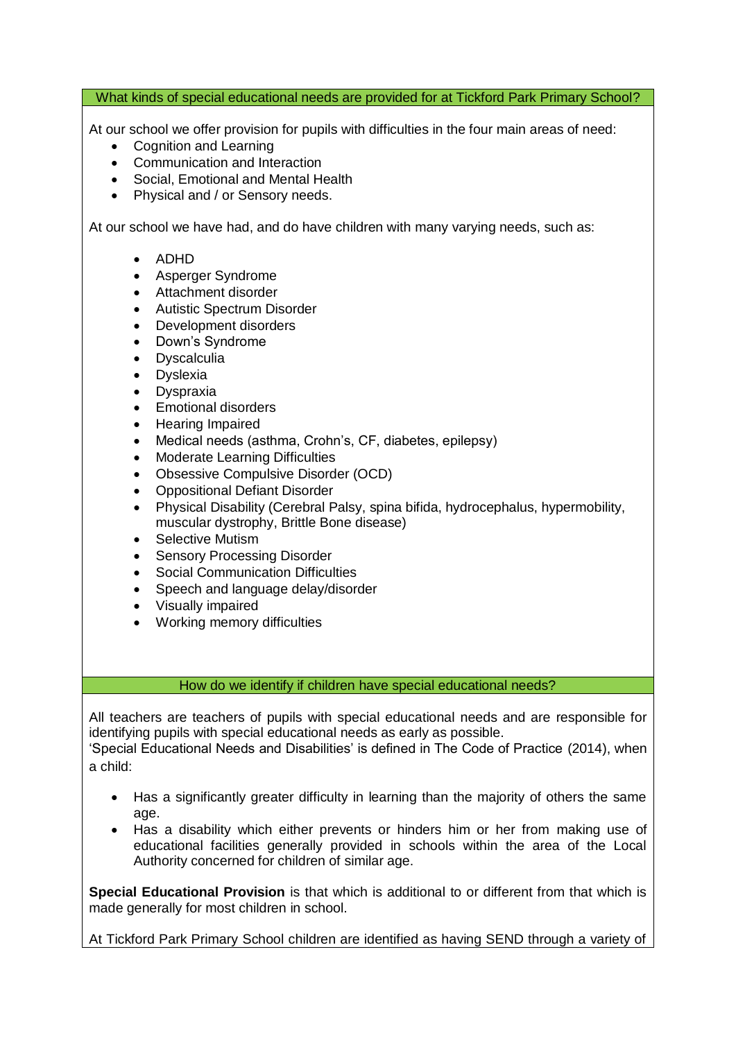What kinds of special educational needs are provided for at Tickford Park Primary School?

At our school we offer provision for pupils with difficulties in the four main areas of need:

- Cognition and Learning
- Communication and Interaction
- Social, Emotional and Mental Health
- Physical and / or Sensory needs.

At our school we have had, and do have children with many varying needs, such as:

- ADHD
- Asperger Syndrome
- Attachment disorder
- Autistic Spectrum Disorder
- Development disorders
- Down's Syndrome
- **Dyscalculia**
- Dyslexia
- Dyspraxia
- Emotional disorders
- Hearing Impaired
- Medical needs (asthma, Crohn's, CF, diabetes, epilepsy)
- Moderate Learning Difficulties
- Obsessive Compulsive Disorder (OCD)
- Oppositional Defiant Disorder
- Physical Disability (Cerebral Palsy, spina bifida, hydrocephalus, hypermobility, muscular dystrophy, Brittle Bone disease)
- Selective Mutism
- Sensory Processing Disorder
- Social Communication Difficulties
- Speech and language delay/disorder
- Visually impaired
- Working memory difficulties

## How do we identify if children have special educational needs?

All teachers are teachers of pupils with special educational needs and are responsible for identifying pupils with special educational needs as early as possible.

'Special Educational Needs and Disabilities' is defined in The Code of Practice (2014), when a child:

- Has a significantly greater difficulty in learning than the majority of others the same age.
- Has a disability which either prevents or hinders him or her from making use of educational facilities generally provided in schools within the area of the Local Authority concerned for children of similar age.

**Special Educational Provision** is that which is additional to or different from that which is made generally for most children in school.

At Tickford Park Primary School children are identified as having SEND through a variety of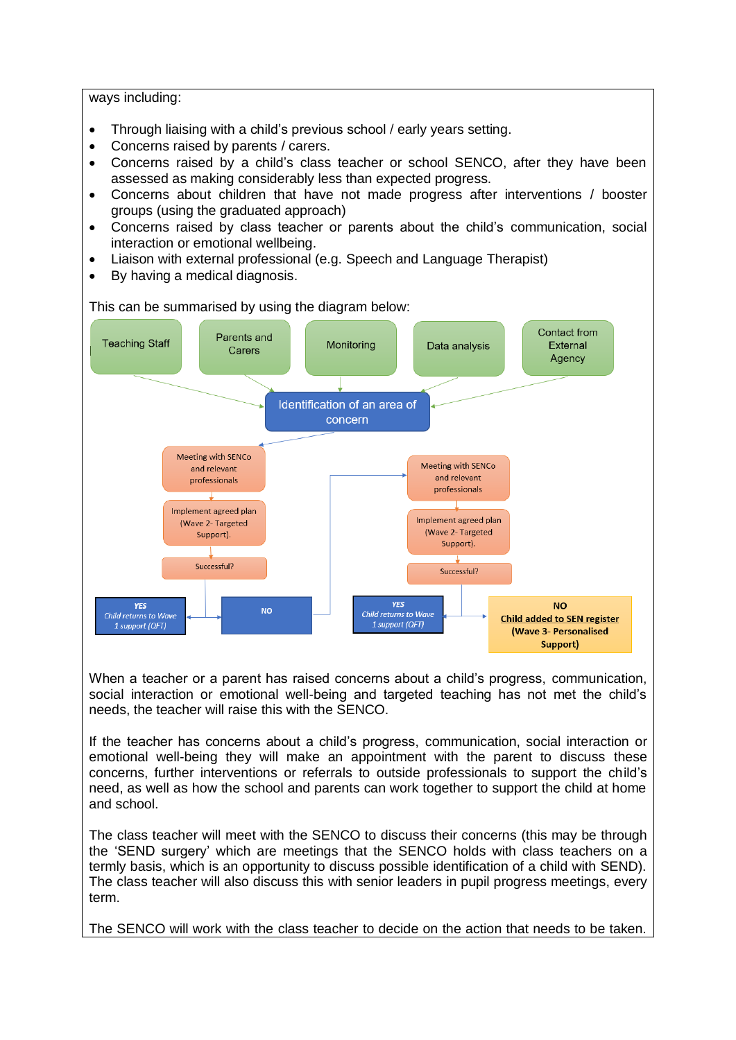ways including:

- Through liaising with a child's previous school / early years setting.
- Concerns raised by parents / carers.
- Concerns raised by a child's class teacher or school SENCO, after they have been assessed as making considerably less than expected progress.
- Concerns about children that have not made progress after interventions / booster groups (using the graduated approach)
- Concerns raised by class teacher or parents about the child's communication, social interaction or emotional wellbeing.
- Liaison with external professional (e.g. Speech and Language Therapist)
- By having a medical diagnosis.



When a teacher or a parent has raised concerns about a child's progress, communication, social interaction or emotional well-being and targeted teaching has not met the child's needs, the teacher will raise this with the SENCO.

If the teacher has concerns about a child's progress, communication, social interaction or emotional well-being they will make an appointment with the parent to discuss these concerns, further interventions or referrals to outside professionals to support the child's need, as well as how the school and parents can work together to support the child at home and school.

The class teacher will meet with the SENCO to discuss their concerns (this may be through the 'SEND surgery' which are meetings that the SENCO holds with class teachers on a termly basis, which is an opportunity to discuss possible identification of a child with SEND). The class teacher will also discuss this with senior leaders in pupil progress meetings, every term.

The SENCO will work with the class teacher to decide on the action that needs to be taken.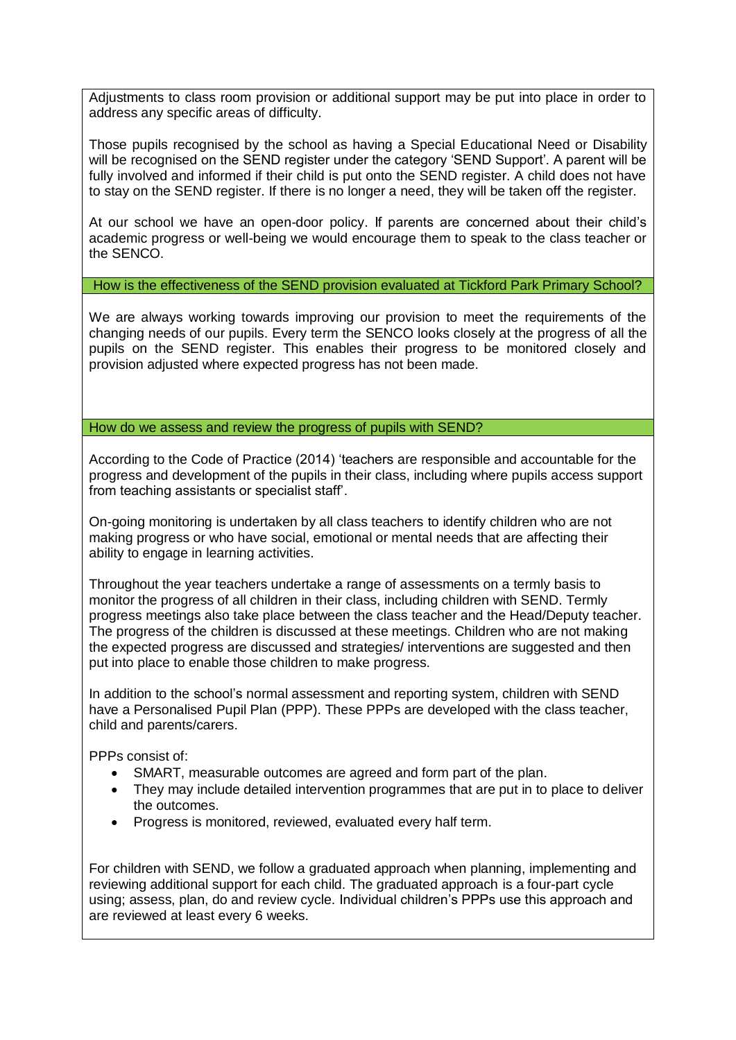Adjustments to class room provision or additional support may be put into place in order to address any specific areas of difficulty.

Those pupils recognised by the school as having a Special Educational Need or Disability will be recognised on the SEND register under the category 'SEND Support'. A parent will be fully involved and informed if their child is put onto the SEND register. A child does not have to stay on the SEND register. If there is no longer a need, they will be taken off the register.

At our school we have an open-door policy. If parents are concerned about their child's academic progress or well-being we would encourage them to speak to the class teacher or the SENCO.

How is the effectiveness of the SEND provision evaluated at Tickford Park Primary School?

We are always working towards improving our provision to meet the requirements of the changing needs of our pupils. Every term the SENCO looks closely at the progress of all the pupils on the SEND register. This enables their progress to be monitored closely and provision adjusted where expected progress has not been made.

How do we assess and review the progress of pupils with SEND?

According to the Code of Practice (2014) 'teachers are responsible and accountable for the progress and development of the pupils in their class, including where pupils access support from teaching assistants or specialist staff'.

On-going monitoring is undertaken by all class teachers to identify children who are not making progress or who have social, emotional or mental needs that are affecting their ability to engage in learning activities.

Throughout the year teachers undertake a range of assessments on a termly basis to monitor the progress of all children in their class, including children with SEND. Termly progress meetings also take place between the class teacher and the Head/Deputy teacher. The progress of the children is discussed at these meetings. Children who are not making the expected progress are discussed and strategies/ interventions are suggested and then put into place to enable those children to make progress.

In addition to the school's normal assessment and reporting system, children with SEND have a Personalised Pupil Plan (PPP). These PPPs are developed with the class teacher, child and parents/carers.

PPPs consist of:

- SMART, measurable outcomes are agreed and form part of the plan.
- They may include detailed intervention programmes that are put in to place to deliver the outcomes.
- Progress is monitored, reviewed, evaluated every half term.

For children with SEND, we follow a graduated approach when planning, implementing and reviewing additional support for each child. The graduated approach is a four-part cycle using; assess, plan, do and review cycle. Individual children's PPPs use this approach and are reviewed at least every 6 weeks.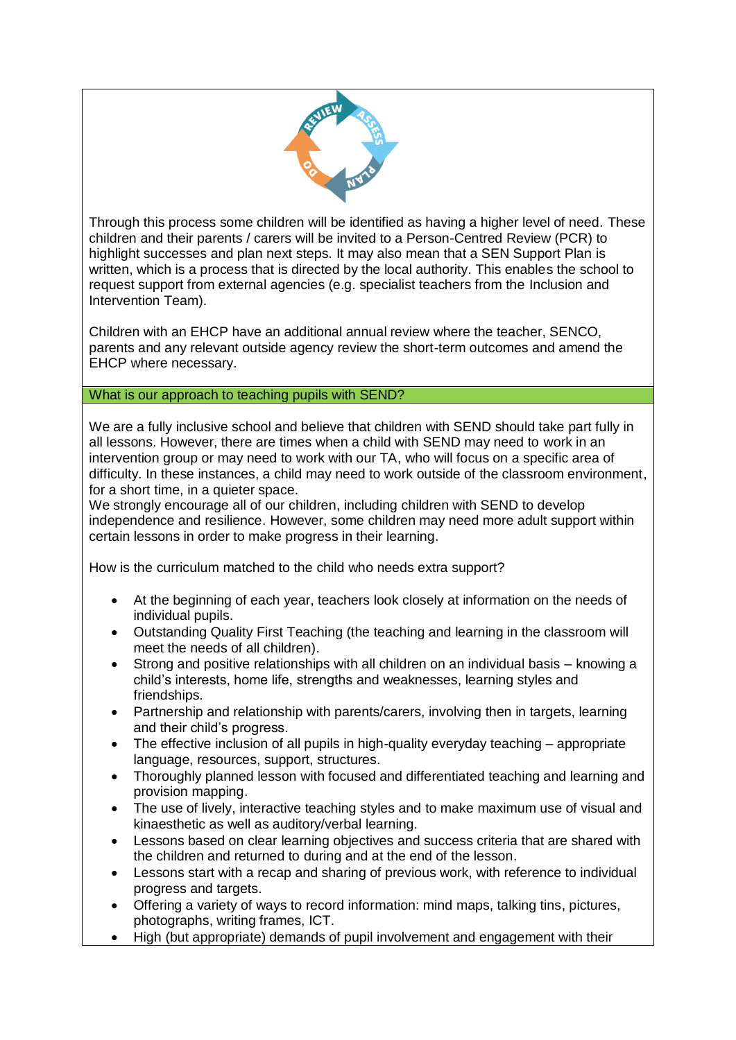

Through this process some children will be identified as having a higher level of need. These children and their parents / carers will be invited to a Person-Centred Review (PCR) to highlight successes and plan next steps. It may also mean that a SEN Support Plan is written, which is a process that is directed by the local authority. This enables the school to request support from external agencies (e.g. specialist teachers from the Inclusion and Intervention Team).

Children with an EHCP have an additional annual review where the teacher, SENCO, parents and any relevant outside agency review the short-term outcomes and amend the EHCP where necessary.

## What is our approach to teaching pupils with SEND?

We are a fully inclusive school and believe that children with SEND should take part fully in all lessons. However, there are times when a child with SEND may need to work in an intervention group or may need to work with our TA, who will focus on a specific area of difficulty. In these instances, a child may need to work outside of the classroom environment, for a short time, in a quieter space.

We strongly encourage all of our children, including children with SEND to develop independence and resilience. However, some children may need more adult support within certain lessons in order to make progress in their learning.

How is the curriculum matched to the child who needs extra support?

- At the beginning of each year, teachers look closely at information on the needs of individual pupils.
- Outstanding Quality First Teaching (the teaching and learning in the classroom will meet the needs of all children).
- Strong and positive relationships with all children on an individual basis knowing a child's interests, home life, strengths and weaknesses, learning styles and friendships.
- Partnership and relationship with parents/carers, involving then in targets, learning and their child's progress.
- The effective inclusion of all pupils in high-quality everyday teaching appropriate language, resources, support, structures.
- Thoroughly planned lesson with focused and differentiated teaching and learning and provision mapping.
- The use of lively, interactive teaching styles and to make maximum use of visual and kinaesthetic as well as auditory/verbal learning.
- Lessons based on clear learning objectives and success criteria that are shared with the children and returned to during and at the end of the lesson.
- Lessons start with a recap and sharing of previous work, with reference to individual progress and targets.
- Offering a variety of ways to record information: mind maps, talking tins, pictures, photographs, writing frames, ICT.
- High (but appropriate) demands of pupil involvement and engagement with their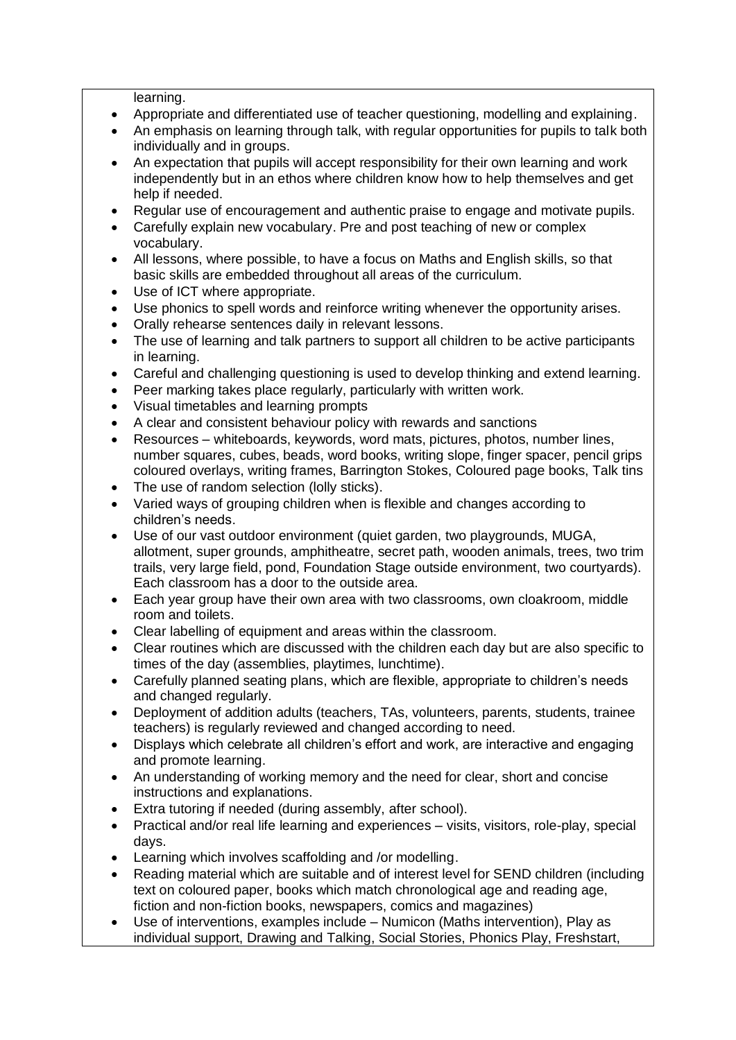learning.

- Appropriate and differentiated use of teacher questioning, modelling and explaining.
- An emphasis on learning through talk, with regular opportunities for pupils to talk both individually and in groups.
- An expectation that pupils will accept responsibility for their own learning and work independently but in an ethos where children know how to help themselves and get help if needed.
- Regular use of encouragement and authentic praise to engage and motivate pupils.
- Carefully explain new vocabulary. Pre and post teaching of new or complex vocabulary.
- All lessons, where possible, to have a focus on Maths and English skills, so that basic skills are embedded throughout all areas of the curriculum.
- Use of ICT where appropriate.
- Use phonics to spell words and reinforce writing whenever the opportunity arises.
- Orally rehearse sentences daily in relevant lessons.
- The use of learning and talk partners to support all children to be active participants in learning.
- Careful and challenging questioning is used to develop thinking and extend learning.
- Peer marking takes place regularly, particularly with written work.
- Visual timetables and learning prompts
- A clear and consistent behaviour policy with rewards and sanctions
- Resources whiteboards, keywords, word mats, pictures, photos, number lines, number squares, cubes, beads, word books, writing slope, finger spacer, pencil grips coloured overlays, writing frames, Barrington Stokes, Coloured page books, Talk tins
- The use of random selection (lolly sticks).
- Varied ways of grouping children when is flexible and changes according to children's needs.
- Use of our vast outdoor environment (quiet garden, two playgrounds, MUGA, allotment, super grounds, amphitheatre, secret path, wooden animals, trees, two trim trails, very large field, pond, Foundation Stage outside environment, two courtyards). Each classroom has a door to the outside area.
- Each year group have their own area with two classrooms, own cloakroom, middle room and toilets.
- Clear labelling of equipment and areas within the classroom.
- Clear routines which are discussed with the children each day but are also specific to times of the day (assemblies, playtimes, lunchtime).
- Carefully planned seating plans, which are flexible, appropriate to children's needs and changed regularly.
- Deployment of addition adults (teachers, TAs, volunteers, parents, students, trainee teachers) is regularly reviewed and changed according to need.
- Displays which celebrate all children's effort and work, are interactive and engaging and promote learning.
- An understanding of working memory and the need for clear, short and concise instructions and explanations.
- Extra tutoring if needed (during assembly, after school).
- Practical and/or real life learning and experiences visits, visitors, role-play, special days.
- Learning which involves scaffolding and /or modelling.
- Reading material which are suitable and of interest level for SEND children (including text on coloured paper, books which match chronological age and reading age, fiction and non-fiction books, newspapers, comics and magazines)
- Use of interventions, examples include Numicon (Maths intervention), Play as individual support, Drawing and Talking, Social Stories, Phonics Play, Freshstart,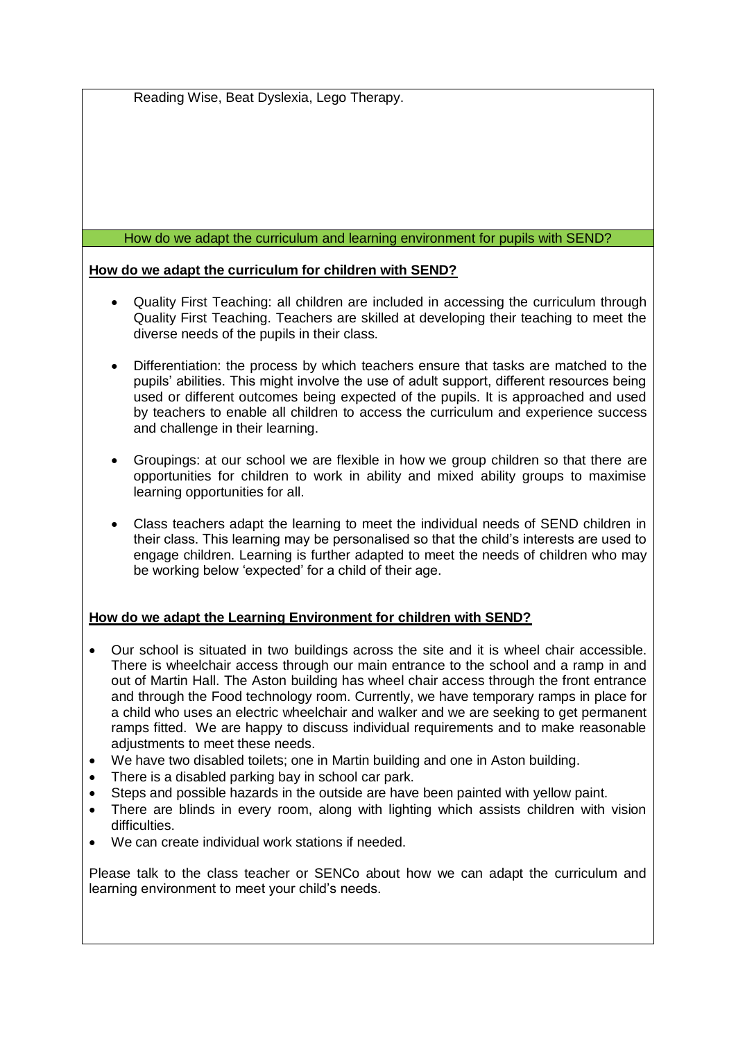Reading Wise, Beat Dyslexia, Lego Therapy.

#### How do we adapt the curriculum and learning environment for pupils with SEND?

#### **How do we adapt the curriculum for children with SEND?**

- Quality First Teaching: all children are included in accessing the curriculum through Quality First Teaching. Teachers are skilled at developing their teaching to meet the diverse needs of the pupils in their class.
- Differentiation: the process by which teachers ensure that tasks are matched to the pupils' abilities. This might involve the use of adult support, different resources being used or different outcomes being expected of the pupils. It is approached and used by teachers to enable all children to access the curriculum and experience success and challenge in their learning.
- Groupings: at our school we are flexible in how we group children so that there are opportunities for children to work in ability and mixed ability groups to maximise learning opportunities for all.
- Class teachers adapt the learning to meet the individual needs of SEND children in their class. This learning may be personalised so that the child's interests are used to engage children. Learning is further adapted to meet the needs of children who may be working below 'expected' for a child of their age.

## **How do we adapt the Learning Environment for children with SEND?**

- Our school is situated in two buildings across the site and it is wheel chair accessible. There is wheelchair access through our main entrance to the school and a ramp in and out of Martin Hall. The Aston building has wheel chair access through the front entrance and through the Food technology room. Currently, we have temporary ramps in place for a child who uses an electric wheelchair and walker and we are seeking to get permanent ramps fitted. We are happy to discuss individual requirements and to make reasonable adjustments to meet these needs.
- We have two disabled toilets; one in Martin building and one in Aston building.
- There is a disabled parking bay in school car park.
- Steps and possible hazards in the outside are have been painted with yellow paint.
- There are blinds in every room, along with lighting which assists children with vision difficulties.
- We can create individual work stations if needed.

Please talk to the class teacher or SENCo about how we can adapt the curriculum and learning environment to meet your child's needs.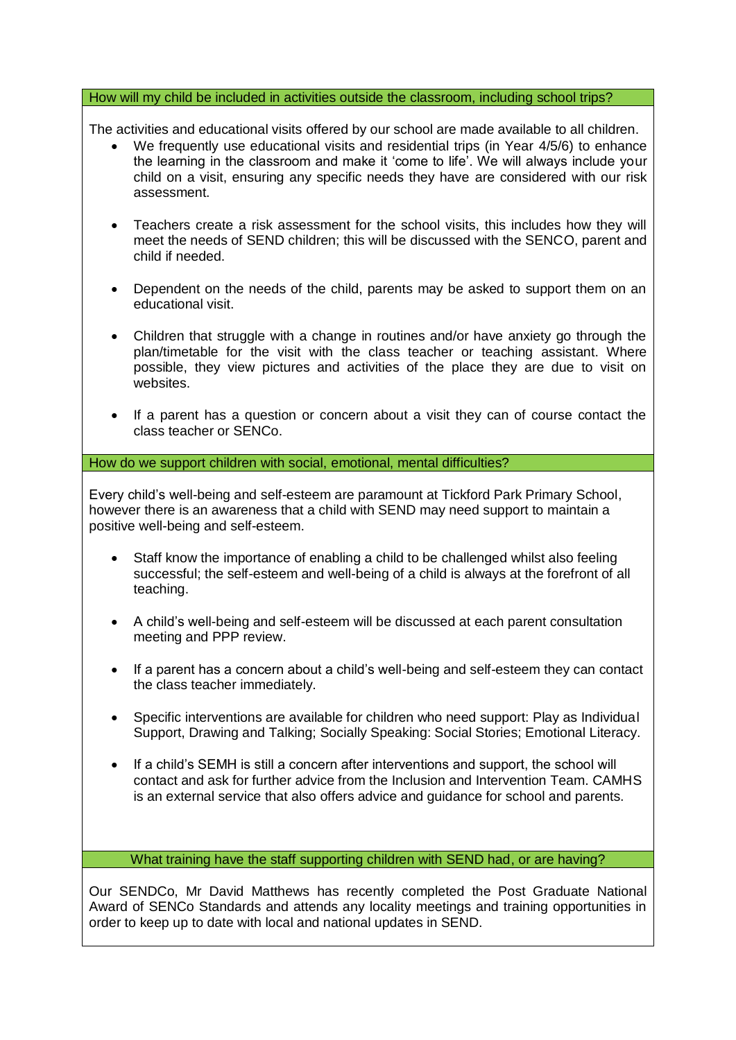#### How will my child be included in activities outside the classroom, including school trips?

The activities and educational visits offered by our school are made available to all children.

- We frequently use educational visits and residential trips (in Year 4/5/6) to enhance the learning in the classroom and make it 'come to life'. We will always include your child on a visit, ensuring any specific needs they have are considered with our risk assessment.
- Teachers create a risk assessment for the school visits, this includes how they will meet the needs of SEND children; this will be discussed with the SENCO, parent and child if needed.
- Dependent on the needs of the child, parents may be asked to support them on an educational visit.
- Children that struggle with a change in routines and/or have anxiety go through the plan/timetable for the visit with the class teacher or teaching assistant. Where possible, they view pictures and activities of the place they are due to visit on websites.
- If a parent has a question or concern about a visit they can of course contact the class teacher or SENCo.

How do we support children with social, emotional, mental difficulties?

Every child's well-being and self-esteem are paramount at Tickford Park Primary School, however there is an awareness that a child with SEND may need support to maintain a positive well-being and self-esteem.

- Staff know the importance of enabling a child to be challenged whilst also feeling successful; the self-esteem and well-being of a child is always at the forefront of all teaching.
- A child's well-being and self-esteem will be discussed at each parent consultation meeting and PPP review.
- If a parent has a concern about a child's well-being and self-esteem they can contact the class teacher immediately.
- Specific interventions are available for children who need support: Play as Individual Support, Drawing and Talking; Socially Speaking: Social Stories; Emotional Literacy.
- If a child's SEMH is still a concern after interventions and support, the school will contact and ask for further advice from the Inclusion and Intervention Team. CAMHS is an external service that also offers advice and guidance for school and parents.

What training have the staff supporting children with SEND had, or are having?

Our SENDCo, Mr David Matthews has recently completed the Post Graduate National Award of SENCo Standards and attends any locality meetings and training opportunities in order to keep up to date with local and national updates in SEND.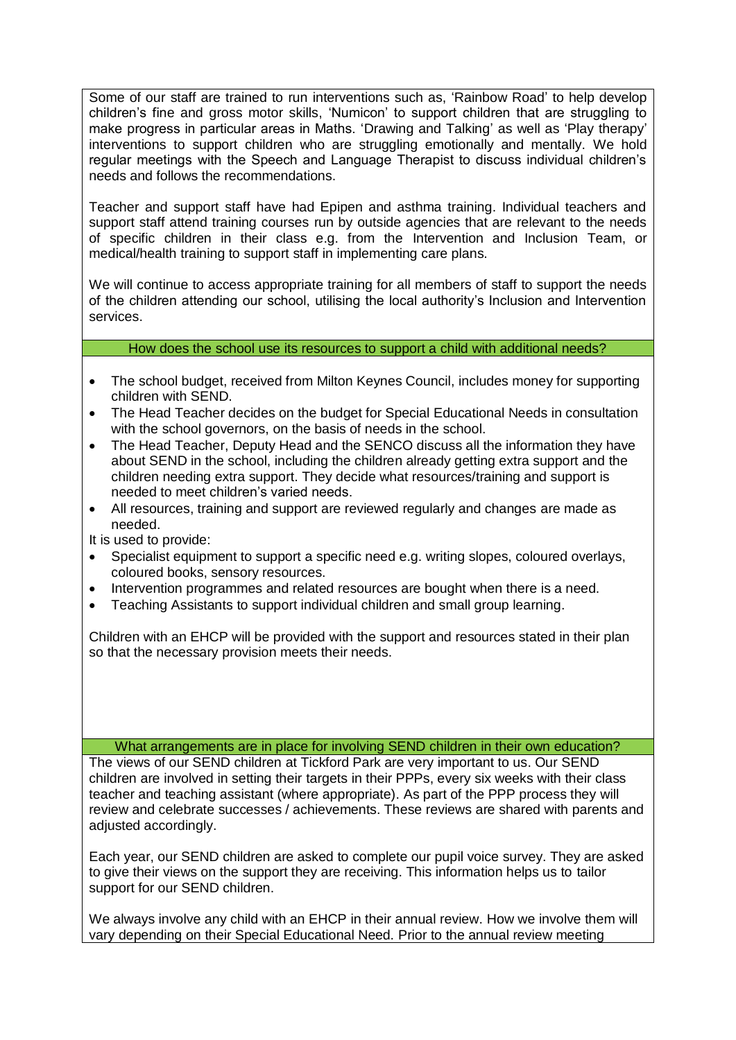Some of our staff are trained to run interventions such as, 'Rainbow Road' to help develop children's fine and gross motor skills, 'Numicon' to support children that are struggling to make progress in particular areas in Maths. 'Drawing and Talking' as well as 'Play therapy' interventions to support children who are struggling emotionally and mentally. We hold regular meetings with the Speech and Language Therapist to discuss individual children's needs and follows the recommendations.

Teacher and support staff have had Epipen and asthma training. Individual teachers and support staff attend training courses run by outside agencies that are relevant to the needs of specific children in their class e.g. from the Intervention and Inclusion Team, or medical/health training to support staff in implementing care plans.

We will continue to access appropriate training for all members of staff to support the needs of the children attending our school, utilising the local authority's Inclusion and Intervention services.

How does the school use its resources to support a child with additional needs?

- The school budget, received from Milton Keynes Council, includes money for supporting children with SEND.
- The Head Teacher decides on the budget for Special Educational Needs in consultation with the school governors, on the basis of needs in the school.
- The Head Teacher, Deputy Head and the SENCO discuss all the information they have about SEND in the school, including the children already getting extra support and the children needing extra support. They decide what resources/training and support is needed to meet children's varied needs.
- All resources, training and support are reviewed regularly and changes are made as needed.

It is used to provide:

- Specialist equipment to support a specific need e.g. writing slopes, coloured overlays, coloured books, sensory resources.
- Intervention programmes and related resources are bought when there is a need.
- Teaching Assistants to support individual children and small group learning.

Children with an EHCP will be provided with the support and resources stated in their plan so that the necessary provision meets their needs.

What arrangements are in place for involving SEND children in their own education?

The views of our SEND children at Tickford Park are very important to us. Our SEND children are involved in setting their targets in their PPPs, every six weeks with their class teacher and teaching assistant (where appropriate). As part of the PPP process they will review and celebrate successes / achievements. These reviews are shared with parents and adjusted accordingly.

Each year, our SEND children are asked to complete our pupil voice survey. They are asked to give their views on the support they are receiving. This information helps us to tailor support for our SEND children.

We always involve any child with an EHCP in their annual review. How we involve them will vary depending on their Special Educational Need. Prior to the annual review meeting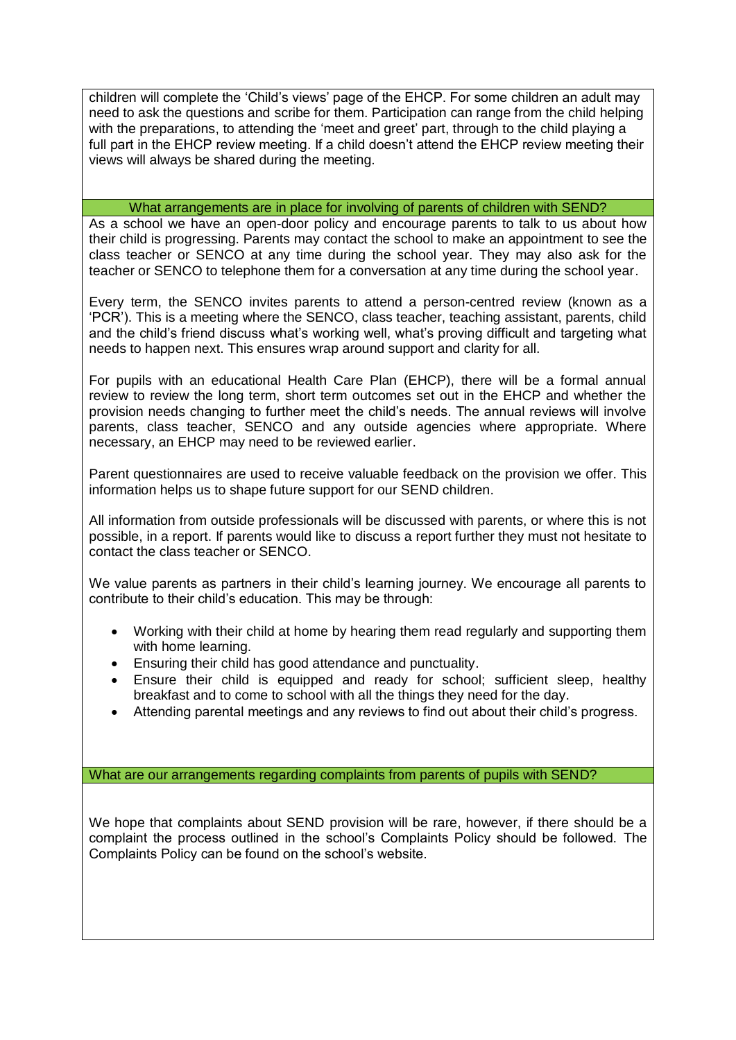children will complete the 'Child's views' page of the EHCP. For some children an adult may need to ask the questions and scribe for them. Participation can range from the child helping with the preparations, to attending the 'meet and greet' part, through to the child playing a full part in the EHCP review meeting. If a child doesn't attend the EHCP review meeting their views will always be shared during the meeting.

### What arrangements are in place for involving of parents of children with SEND?

As a school we have an open-door policy and encourage parents to talk to us about how their child is progressing. Parents may contact the school to make an appointment to see the class teacher or SENCO at any time during the school year. They may also ask for the teacher or SENCO to telephone them for a conversation at any time during the school year.

Every term, the SENCO invites parents to attend a person-centred review (known as a 'PCR'). This is a meeting where the SENCO, class teacher, teaching assistant, parents, child and the child's friend discuss what's working well, what's proving difficult and targeting what needs to happen next. This ensures wrap around support and clarity for all.

For pupils with an educational Health Care Plan (EHCP), there will be a formal annual review to review the long term, short term outcomes set out in the EHCP and whether the provision needs changing to further meet the child's needs. The annual reviews will involve parents, class teacher, SENCO and any outside agencies where appropriate. Where necessary, an EHCP may need to be reviewed earlier.

Parent questionnaires are used to receive valuable feedback on the provision we offer. This information helps us to shape future support for our SEND children.

All information from outside professionals will be discussed with parents, or where this is not possible, in a report. If parents would like to discuss a report further they must not hesitate to contact the class teacher or SENCO.

We value parents as partners in their child's learning journey. We encourage all parents to contribute to their child's education. This may be through:

- Working with their child at home by hearing them read regularly and supporting them with home learning.
- Ensuring their child has good attendance and punctuality.
- Ensure their child is equipped and ready for school; sufficient sleep, healthy breakfast and to come to school with all the things they need for the day.
- Attending parental meetings and any reviews to find out about their child's progress.

What are our arrangements regarding complaints from parents of pupils with SEND?

We hope that complaints about SEND provision will be rare, however, if there should be a complaint the process outlined in the school's Complaints Policy should be followed. The Complaints Policy can be found on the school's website.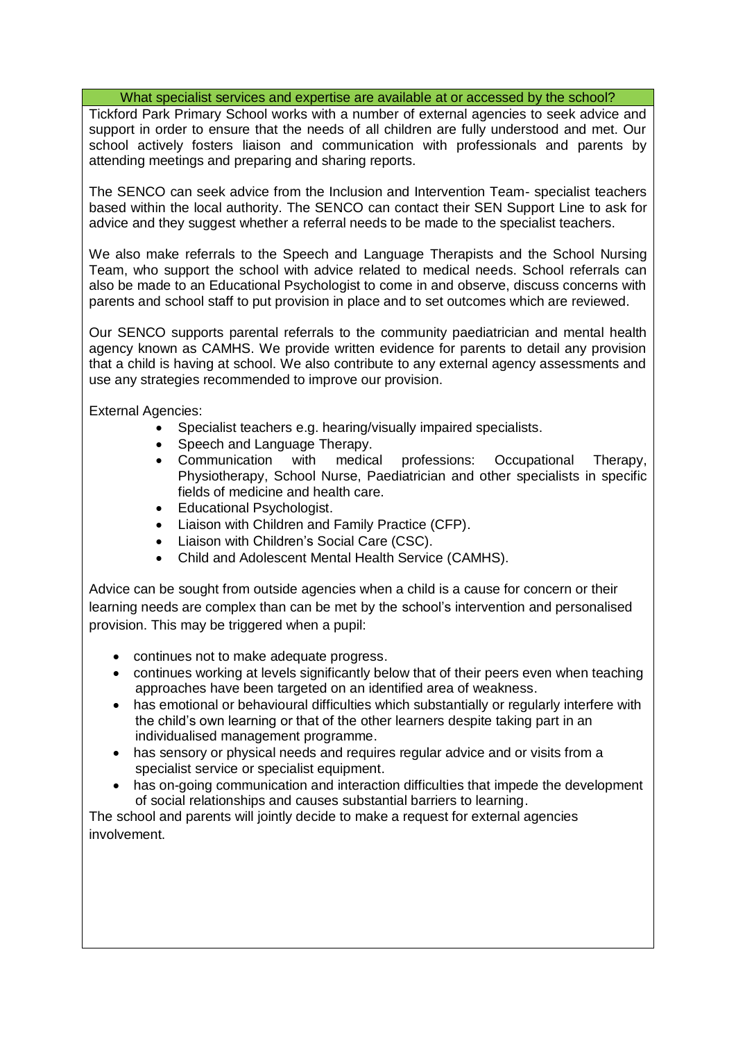What specialist services and expertise are available at or accessed by the school?

Tickford Park Primary School works with a number of external agencies to seek advice and support in order to ensure that the needs of all children are fully understood and met. Our school actively fosters liaison and communication with professionals and parents by attending meetings and preparing and sharing reports.

The SENCO can seek advice from the Inclusion and Intervention Team- specialist teachers based within the local authority. The SENCO can contact their SEN Support Line to ask for advice and they suggest whether a referral needs to be made to the specialist teachers.

We also make referrals to the Speech and Language Therapists and the School Nursing Team, who support the school with advice related to medical needs. School referrals can also be made to an Educational Psychologist to come in and observe, discuss concerns with parents and school staff to put provision in place and to set outcomes which are reviewed.

Our SENCO supports parental referrals to the community paediatrician and mental health agency known as CAMHS. We provide written evidence for parents to detail any provision that a child is having at school. We also contribute to any external agency assessments and use any strategies recommended to improve our provision.

External Agencies:

- Specialist teachers e.g. hearing/visually impaired specialists.
- Speech and Language Therapy.
- Communication with medical professions: Occupational Therapy, Physiotherapy, School Nurse, Paediatrician and other specialists in specific fields of medicine and health care.
- Educational Psychologist.
- Liaison with Children and Family Practice (CFP).
- Liaison with Children's Social Care (CSC).
- Child and Adolescent Mental Health Service (CAMHS).

Advice can be sought from outside agencies when a child is a cause for concern or their learning needs are complex than can be met by the school's intervention and personalised provision. This may be triggered when a pupil:

- continues not to make adequate progress.
- continues working at levels significantly below that of their peers even when teaching approaches have been targeted on an identified area of weakness.
- has emotional or behavioural difficulties which substantially or regularly interfere with the child's own learning or that of the other learners despite taking part in an individualised management programme.
- has sensory or physical needs and requires regular advice and or visits from a specialist service or specialist equipment.
- has on-going communication and interaction difficulties that impede the development of social relationships and causes substantial barriers to learning.

The school and parents will jointly decide to make a request for external agencies involvement.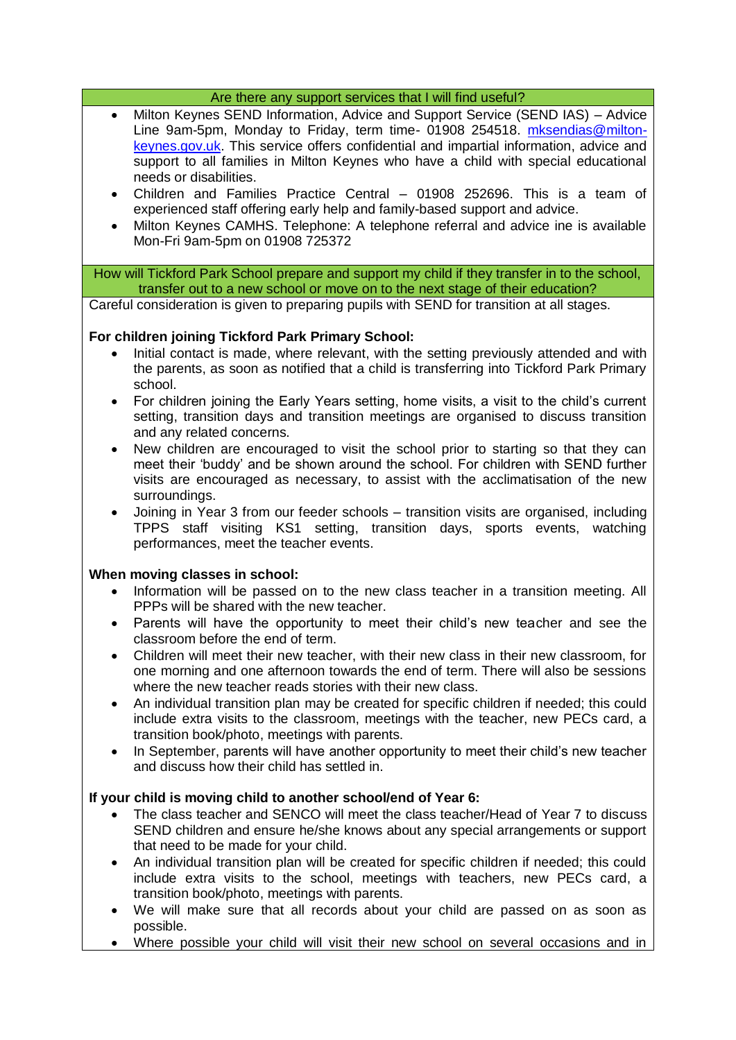#### Are there any support services that I will find useful?

- Milton Keynes SEND Information, Advice and Support Service (SEND IAS) Advice Line 9am-5pm, Monday to Friday, term time- 01908 254518. [mksendias@milton](mailto:mksendias@milton-keynes.gov.uk)[keynes.gov.uk.](mailto:mksendias@milton-keynes.gov.uk) This service offers confidential and impartial information, advice and support to all families in Milton Keynes who have a child with special educational needs or disabilities.
- Children and Families Practice Central 01908 252696. This is a team of experienced staff offering early help and family-based support and advice.
- Milton Keynes CAMHS. Telephone: A telephone referral and advice ine is available Mon-Fri 9am-5pm on 01908 725372

How will Tickford Park School prepare and support my child if they transfer in to the school, transfer out to a new school or move on to the next stage of their education?

Careful consideration is given to preparing pupils with SEND for transition at all stages.

## **For children joining Tickford Park Primary School:**

- Initial contact is made, where relevant, with the setting previously attended and with the parents, as soon as notified that a child is transferring into Tickford Park Primary school.
- For children joining the Early Years setting, home visits, a visit to the child's current setting, transition days and transition meetings are organised to discuss transition and any related concerns.
- New children are encouraged to visit the school prior to starting so that they can meet their 'buddy' and be shown around the school. For children with SEND further visits are encouraged as necessary, to assist with the acclimatisation of the new surroundings.
- Joining in Year 3 from our feeder schools transition visits are organised, including TPPS staff visiting KS1 setting, transition days, sports events, watching performances, meet the teacher events.

#### **When moving classes in school:**

- Information will be passed on to the new class teacher in a transition meeting. All PPPs will be shared with the new teacher.
- Parents will have the opportunity to meet their child's new teacher and see the classroom before the end of term.
- Children will meet their new teacher, with their new class in their new classroom, for one morning and one afternoon towards the end of term. There will also be sessions where the new teacher reads stories with their new class.
- An individual transition plan may be created for specific children if needed; this could include extra visits to the classroom, meetings with the teacher, new PECs card, a transition book/photo, meetings with parents.
- In September, parents will have another opportunity to meet their child's new teacher and discuss how their child has settled in.

## **If your child is moving child to another school/end of Year 6:**

- The class teacher and SENCO will meet the class teacher/Head of Year 7 to discuss SEND children and ensure he/she knows about any special arrangements or support that need to be made for your child.
- An individual transition plan will be created for specific children if needed; this could include extra visits to the school, meetings with teachers, new PECs card, a transition book/photo, meetings with parents.
- We will make sure that all records about your child are passed on as soon as possible.
- Where possible your child will visit their new school on several occasions and in